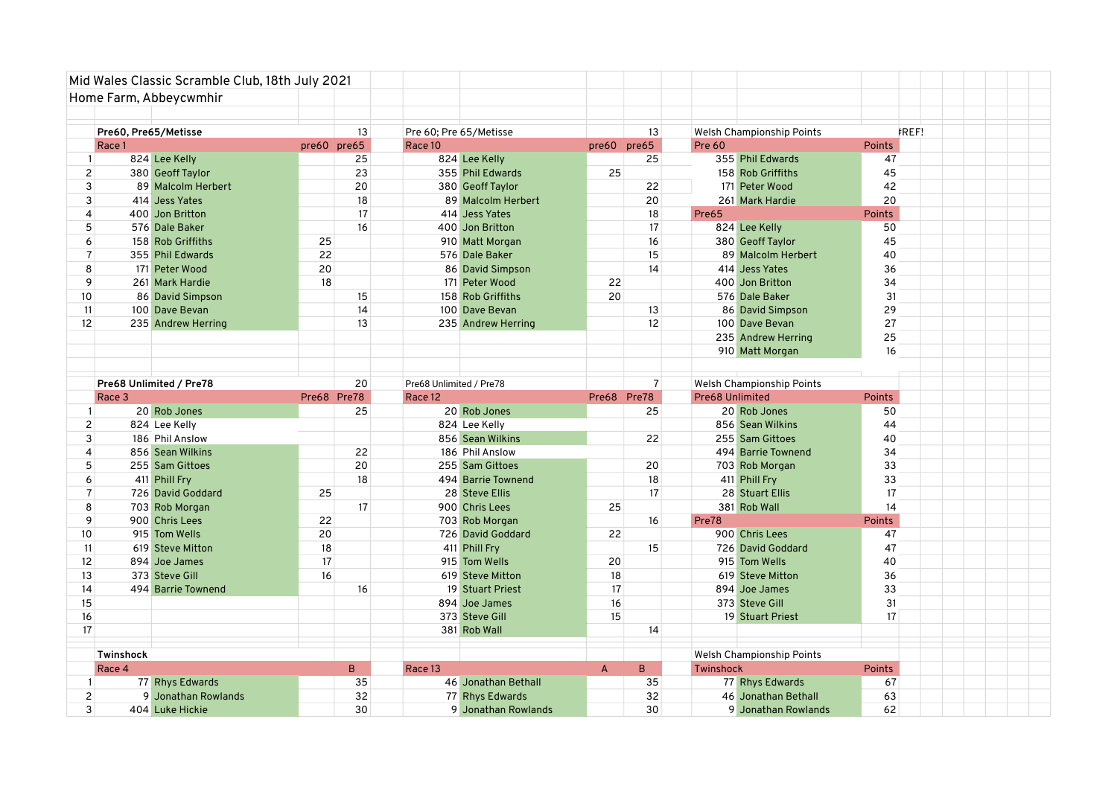| Home Farm, Abbeycwmhir<br>Pre60. Pre65/Metisse<br>13<br>Pre 60; Pre 65/Metisse<br>13<br><b>FREF!</b><br>Welsh Championship Points<br>pre60 pre65<br>Race 1<br>pre60 pre65<br>Race 10<br>Pre 60<br><b>Points</b><br>824 Lee Kelly<br>25<br>25<br>355 Phil Edwards<br>824 Lee Kelly<br>47<br>$\mathbf{1}$<br>2 <sup>1</sup><br>23<br>380 Geoff Taylor<br>25<br>158 Rob Griffiths<br>45<br>355 Phil Edwards<br>3<br>20<br>89 Malcolm Herbert<br>380 Geoff Taylor<br>22<br>171 Peter Wood<br>42<br>18<br>20<br>$\overline{3}$<br>414 Jess Yates<br>89 Malcolm Herbert<br>20<br>261 Mark Hardie<br>17<br>18<br>$\overline{4}$<br>400 Jon Britton<br>414 Jess Yates<br>Pre65<br><b>Points</b><br>5<br>576 Dale Baker<br>16<br>400 Jon Britton<br>17<br>824 Lee Kelly<br>50<br>$6 \mid$<br>158 Rob Griffiths<br>25<br>16<br>380 Geoff Taylor<br>45<br>910 Matt Morgan<br>$\overline{7}$<br>22<br>355 Phil Edwards<br>576 Dale Baker<br>15<br>89 Malcolm Herbert<br>40<br>8<br>20<br>14<br>171 Peter Wood<br>86 David Simpson<br>414 Jess Yates<br>36<br>9<br>18<br>22<br>34<br>261 Mark Hardie<br>171 Peter Wood<br>400 Jon Britton<br>10<br>15<br>20<br>31<br>86 David Simpson<br>158 Rob Griffiths<br>576 Dale Baker<br>14<br>11<br>100 Dave Bevan<br>100 Dave Bevan<br>13<br>86 David Simpson<br>29<br>12<br>13<br>12<br>27<br>235 Andrew Herring<br>235 Andrew Herring<br>100 Dave Bevan<br>25<br>235 Andrew Herring |  |
|-------------------------------------------------------------------------------------------------------------------------------------------------------------------------------------------------------------------------------------------------------------------------------------------------------------------------------------------------------------------------------------------------------------------------------------------------------------------------------------------------------------------------------------------------------------------------------------------------------------------------------------------------------------------------------------------------------------------------------------------------------------------------------------------------------------------------------------------------------------------------------------------------------------------------------------------------------------------------------------------------------------------------------------------------------------------------------------------------------------------------------------------------------------------------------------------------------------------------------------------------------------------------------------------------------------------------------------------------------------------------------------------------------------------|--|
|                                                                                                                                                                                                                                                                                                                                                                                                                                                                                                                                                                                                                                                                                                                                                                                                                                                                                                                                                                                                                                                                                                                                                                                                                                                                                                                                                                                                                   |  |
|                                                                                                                                                                                                                                                                                                                                                                                                                                                                                                                                                                                                                                                                                                                                                                                                                                                                                                                                                                                                                                                                                                                                                                                                                                                                                                                                                                                                                   |  |
|                                                                                                                                                                                                                                                                                                                                                                                                                                                                                                                                                                                                                                                                                                                                                                                                                                                                                                                                                                                                                                                                                                                                                                                                                                                                                                                                                                                                                   |  |
|                                                                                                                                                                                                                                                                                                                                                                                                                                                                                                                                                                                                                                                                                                                                                                                                                                                                                                                                                                                                                                                                                                                                                                                                                                                                                                                                                                                                                   |  |
|                                                                                                                                                                                                                                                                                                                                                                                                                                                                                                                                                                                                                                                                                                                                                                                                                                                                                                                                                                                                                                                                                                                                                                                                                                                                                                                                                                                                                   |  |
|                                                                                                                                                                                                                                                                                                                                                                                                                                                                                                                                                                                                                                                                                                                                                                                                                                                                                                                                                                                                                                                                                                                                                                                                                                                                                                                                                                                                                   |  |
|                                                                                                                                                                                                                                                                                                                                                                                                                                                                                                                                                                                                                                                                                                                                                                                                                                                                                                                                                                                                                                                                                                                                                                                                                                                                                                                                                                                                                   |  |
|                                                                                                                                                                                                                                                                                                                                                                                                                                                                                                                                                                                                                                                                                                                                                                                                                                                                                                                                                                                                                                                                                                                                                                                                                                                                                                                                                                                                                   |  |
|                                                                                                                                                                                                                                                                                                                                                                                                                                                                                                                                                                                                                                                                                                                                                                                                                                                                                                                                                                                                                                                                                                                                                                                                                                                                                                                                                                                                                   |  |
|                                                                                                                                                                                                                                                                                                                                                                                                                                                                                                                                                                                                                                                                                                                                                                                                                                                                                                                                                                                                                                                                                                                                                                                                                                                                                                                                                                                                                   |  |
|                                                                                                                                                                                                                                                                                                                                                                                                                                                                                                                                                                                                                                                                                                                                                                                                                                                                                                                                                                                                                                                                                                                                                                                                                                                                                                                                                                                                                   |  |
|                                                                                                                                                                                                                                                                                                                                                                                                                                                                                                                                                                                                                                                                                                                                                                                                                                                                                                                                                                                                                                                                                                                                                                                                                                                                                                                                                                                                                   |  |
|                                                                                                                                                                                                                                                                                                                                                                                                                                                                                                                                                                                                                                                                                                                                                                                                                                                                                                                                                                                                                                                                                                                                                                                                                                                                                                                                                                                                                   |  |
|                                                                                                                                                                                                                                                                                                                                                                                                                                                                                                                                                                                                                                                                                                                                                                                                                                                                                                                                                                                                                                                                                                                                                                                                                                                                                                                                                                                                                   |  |
|                                                                                                                                                                                                                                                                                                                                                                                                                                                                                                                                                                                                                                                                                                                                                                                                                                                                                                                                                                                                                                                                                                                                                                                                                                                                                                                                                                                                                   |  |
|                                                                                                                                                                                                                                                                                                                                                                                                                                                                                                                                                                                                                                                                                                                                                                                                                                                                                                                                                                                                                                                                                                                                                                                                                                                                                                                                                                                                                   |  |
|                                                                                                                                                                                                                                                                                                                                                                                                                                                                                                                                                                                                                                                                                                                                                                                                                                                                                                                                                                                                                                                                                                                                                                                                                                                                                                                                                                                                                   |  |
| 910 Matt Morgan<br>16                                                                                                                                                                                                                                                                                                                                                                                                                                                                                                                                                                                                                                                                                                                                                                                                                                                                                                                                                                                                                                                                                                                                                                                                                                                                                                                                                                                             |  |
|                                                                                                                                                                                                                                                                                                                                                                                                                                                                                                                                                                                                                                                                                                                                                                                                                                                                                                                                                                                                                                                                                                                                                                                                                                                                                                                                                                                                                   |  |
|                                                                                                                                                                                                                                                                                                                                                                                                                                                                                                                                                                                                                                                                                                                                                                                                                                                                                                                                                                                                                                                                                                                                                                                                                                                                                                                                                                                                                   |  |
| Pre68 Unlimited / Pre78<br>20<br>$\overline{7}$<br>Welsh Championship Points<br>Pre68 Unlimited / Pre78                                                                                                                                                                                                                                                                                                                                                                                                                                                                                                                                                                                                                                                                                                                                                                                                                                                                                                                                                                                                                                                                                                                                                                                                                                                                                                           |  |
| Pre68 Pre78<br>Pre68 Unlimited<br>Race 3<br>Pre68 Pre78<br>Race 12<br><b>Points</b><br>20 Rob Jones<br>25<br>20 Rob Jones<br>25<br>20 Rob Jones<br>50<br>$\mathbf{1}$                                                                                                                                                                                                                                                                                                                                                                                                                                                                                                                                                                                                                                                                                                                                                                                                                                                                                                                                                                                                                                                                                                                                                                                                                                             |  |
| 2 <sup>1</sup><br>824 Lee Kelly<br>824 Lee Kelly<br>44<br>856 Sean Wilkins                                                                                                                                                                                                                                                                                                                                                                                                                                                                                                                                                                                                                                                                                                                                                                                                                                                                                                                                                                                                                                                                                                                                                                                                                                                                                                                                        |  |
| $\mathbf{3}$<br>186 Phil Anslow<br>856 Sean Wilkins<br>22<br>255 Sam Gittoes<br>40                                                                                                                                                                                                                                                                                                                                                                                                                                                                                                                                                                                                                                                                                                                                                                                                                                                                                                                                                                                                                                                                                                                                                                                                                                                                                                                                |  |
| 4<br>856 Sean Wilkins<br>22<br>494 Barrie Townend<br>34<br>186 Phil Anslow                                                                                                                                                                                                                                                                                                                                                                                                                                                                                                                                                                                                                                                                                                                                                                                                                                                                                                                                                                                                                                                                                                                                                                                                                                                                                                                                        |  |
| 5<br>20<br>33<br>255 Sam Gittoes<br>255 Sam Gittoes<br>20<br>703 Rob Morgan                                                                                                                                                                                                                                                                                                                                                                                                                                                                                                                                                                                                                                                                                                                                                                                                                                                                                                                                                                                                                                                                                                                                                                                                                                                                                                                                       |  |
| 18<br>18<br>33<br>6<br>411 Phill Fry<br>494 Barrie Townend<br>411 Phill Fry                                                                                                                                                                                                                                                                                                                                                                                                                                                                                                                                                                                                                                                                                                                                                                                                                                                                                                                                                                                                                                                                                                                                                                                                                                                                                                                                       |  |
| $\overline{7}$<br>17<br>17<br>726 David Goddard<br>25<br>28 Steve Ellis<br>28 Stuart Ellis                                                                                                                                                                                                                                                                                                                                                                                                                                                                                                                                                                                                                                                                                                                                                                                                                                                                                                                                                                                                                                                                                                                                                                                                                                                                                                                        |  |
| 17<br>8<br>703 Rob Morgan<br>900 Chris Lees<br>381 Rob Wall<br>14<br>25                                                                                                                                                                                                                                                                                                                                                                                                                                                                                                                                                                                                                                                                                                                                                                                                                                                                                                                                                                                                                                                                                                                                                                                                                                                                                                                                           |  |
| 9<br>900 Chris Lees<br>22<br>16<br>Pre78<br><b>Points</b><br>703 Rob Morgan                                                                                                                                                                                                                                                                                                                                                                                                                                                                                                                                                                                                                                                                                                                                                                                                                                                                                                                                                                                                                                                                                                                                                                                                                                                                                                                                       |  |
| 10<br>20<br>22<br>47<br>915 Tom Wells<br>726 David Goddard<br>900 Chris Lees                                                                                                                                                                                                                                                                                                                                                                                                                                                                                                                                                                                                                                                                                                                                                                                                                                                                                                                                                                                                                                                                                                                                                                                                                                                                                                                                      |  |
| 18<br>47<br>11<br>619 Steve Mitton<br>411 Phill Fry<br>15<br>726 David Goddard                                                                                                                                                                                                                                                                                                                                                                                                                                                                                                                                                                                                                                                                                                                                                                                                                                                                                                                                                                                                                                                                                                                                                                                                                                                                                                                                    |  |
| 12<br>17<br>915 Tom Wells<br>20<br>915 Tom Wells<br>40<br>894 Joe James                                                                                                                                                                                                                                                                                                                                                                                                                                                                                                                                                                                                                                                                                                                                                                                                                                                                                                                                                                                                                                                                                                                                                                                                                                                                                                                                           |  |
| 18<br>13<br>373 Steve Gill<br>16<br>619 Steve Mitton<br>619 Steve Mitton<br>36                                                                                                                                                                                                                                                                                                                                                                                                                                                                                                                                                                                                                                                                                                                                                                                                                                                                                                                                                                                                                                                                                                                                                                                                                                                                                                                                    |  |
| 17<br>33<br>14<br>494 Barrie Townend<br>16<br>19 Stuart Priest<br>894 Joe James                                                                                                                                                                                                                                                                                                                                                                                                                                                                                                                                                                                                                                                                                                                                                                                                                                                                                                                                                                                                                                                                                                                                                                                                                                                                                                                                   |  |
| 15<br>31<br>894 Joe James<br>16<br>373 Steve Gill                                                                                                                                                                                                                                                                                                                                                                                                                                                                                                                                                                                                                                                                                                                                                                                                                                                                                                                                                                                                                                                                                                                                                                                                                                                                                                                                                                 |  |
| 16<br>373 Steve Gill<br>15<br>17<br>19 Stuart Priest                                                                                                                                                                                                                                                                                                                                                                                                                                                                                                                                                                                                                                                                                                                                                                                                                                                                                                                                                                                                                                                                                                                                                                                                                                                                                                                                                              |  |
| 17<br>381 Rob Wall<br>14                                                                                                                                                                                                                                                                                                                                                                                                                                                                                                                                                                                                                                                                                                                                                                                                                                                                                                                                                                                                                                                                                                                                                                                                                                                                                                                                                                                          |  |
| Twinshock                                                                                                                                                                                                                                                                                                                                                                                                                                                                                                                                                                                                                                                                                                                                                                                                                                                                                                                                                                                                                                                                                                                                                                                                                                                                                                                                                                                                         |  |
| <b>Welsh Championship Points</b><br>Race 4<br><b>Points</b><br>B.<br>Race 13<br>A<br>B.<br>Twinshock                                                                                                                                                                                                                                                                                                                                                                                                                                                                                                                                                                                                                                                                                                                                                                                                                                                                                                                                                                                                                                                                                                                                                                                                                                                                                                              |  |
| 35<br>77 Rhys Edwards<br>35<br>46 Jonathan Bethall<br>77 Rhys Edwards<br>67<br>$\mathbf{1}$                                                                                                                                                                                                                                                                                                                                                                                                                                                                                                                                                                                                                                                                                                                                                                                                                                                                                                                                                                                                                                                                                                                                                                                                                                                                                                                       |  |
| 2 <sup>1</sup><br>9 Jonathan Rowlands<br>32<br>32<br>63<br>77 Rhys Edwards<br>46 Jonathan Bethall                                                                                                                                                                                                                                                                                                                                                                                                                                                                                                                                                                                                                                                                                                                                                                                                                                                                                                                                                                                                                                                                                                                                                                                                                                                                                                                 |  |
| $\overline{3}$<br>30<br>30<br>62<br>404 Luke Hickie<br>9 Jonathan Rowlands<br>9 Jonathan Rowlands                                                                                                                                                                                                                                                                                                                                                                                                                                                                                                                                                                                                                                                                                                                                                                                                                                                                                                                                                                                                                                                                                                                                                                                                                                                                                                                 |  |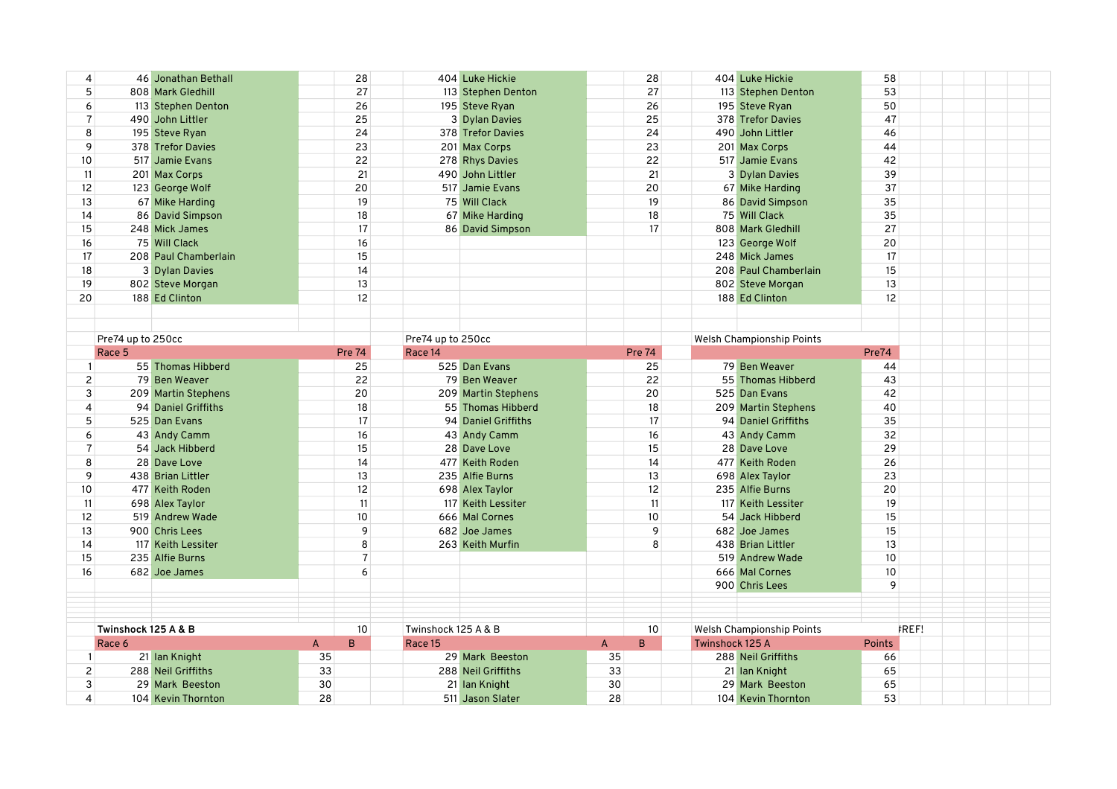| 4               |                     | 46 Jonathan Bethall  | 28                  |                     | 404 Luke Hickie     |                | 28            |                 | 404 Luke Hickie                  | 58            |       |  |
|-----------------|---------------------|----------------------|---------------------|---------------------|---------------------|----------------|---------------|-----------------|----------------------------------|---------------|-------|--|
| 5               |                     | 808 Mark Gledhill    | 27                  |                     | 113 Stephen Denton  |                | 27            |                 | 113 Stephen Denton               | 53            |       |  |
| 6               |                     | 113 Stephen Denton   | 26                  |                     | 195 Steve Ryan      |                | 26            |                 | 195 Steve Ryan                   | 50            |       |  |
| $\overline{7}$  |                     | 490 John Littler     | 25                  |                     | 3 Dylan Davies      |                | 25            |                 | 378 Trefor Davies                | 47            |       |  |
| 8               |                     | 195 Steve Ryan       | 24                  |                     | 378 Trefor Davies   |                | 24            |                 | 490 John Littler                 | 46            |       |  |
| 9               |                     | 378 Trefor Davies    | 23                  |                     | 201 Max Corps       |                | 23            |                 | 201 Max Corps                    | 44            |       |  |
| 10              |                     | 517 Jamie Evans      | 22                  |                     | 278 Rhys Davies     |                | 22            |                 | 517 Jamie Evans                  | 42            |       |  |
| 11              |                     | 201 Max Corps        | 21                  |                     | 490 John Littler    |                | 21            |                 | 3 Dylan Davies                   | 39            |       |  |
| 12              |                     | 123 George Wolf      | 20                  |                     | 517 Jamie Evans     |                | 20            |                 | 67 Mike Harding                  | 37            |       |  |
| 13              |                     | 67 Mike Harding      | 19                  |                     | 75 Will Clack       |                | 19            |                 | 86 David Simpson                 | 35            |       |  |
| 14              |                     | 86 David Simpson     | 18                  |                     | 67 Mike Harding     |                | 18            |                 | 75 Will Clack                    | 35            |       |  |
| 15              |                     | 248 Mick James       | 17                  |                     | 86 David Simpson    |                | 17            |                 | 808 Mark Gledhill                | 27            |       |  |
|                 |                     |                      |                     |                     |                     |                |               |                 |                                  |               |       |  |
| 16              |                     | 75 Will Clack        | 16                  |                     |                     |                |               |                 | 123 George Wolf                  | 20            |       |  |
| 17              |                     | 208 Paul Chamberlain | 15                  |                     |                     |                |               |                 | 248 Mick James                   | 17            |       |  |
| 18              |                     | 3 Dylan Davies       | 14                  |                     |                     |                |               |                 | 208 Paul Chamberlain             | 15            |       |  |
| 19              |                     | 802 Steve Morgan     | 13                  |                     |                     |                |               |                 | 802 Steve Morgan                 | 13            |       |  |
| 20              |                     | 188 Ed Clinton       | 12                  |                     |                     |                |               |                 | 188 Ed Clinton                   | 12            |       |  |
|                 |                     |                      |                     |                     |                     |                |               |                 |                                  |               |       |  |
|                 |                     |                      |                     |                     |                     |                |               |                 |                                  |               |       |  |
|                 | Pre74 up to 250cc   |                      |                     | Pre74 up to 250cc   |                     |                |               |                 | <b>Welsh Championship Points</b> |               |       |  |
|                 | Race 5              |                      | <b>Pre 74</b>       | Race 14             |                     |                | <b>Pre 74</b> |                 |                                  | Pre74         |       |  |
|                 |                     | 55 Thomas Hibberd    | 25                  |                     | 525 Dan Evans       |                | 25            |                 | 79 Ben Weaver                    | 44            |       |  |
| $\overline{2}$  |                     | 79 Ben Weaver        | 22                  |                     | 79 Ben Weaver       |                | 22            |                 | 55 Thomas Hibberd                | 43            |       |  |
| 3               |                     | 209 Martin Stephens  | 20                  |                     | 209 Martin Stephens |                | 20            |                 | 525 Dan Evans                    | 42            |       |  |
| 4               |                     | 94 Daniel Griffiths  | 18                  |                     | 55 Thomas Hibberd   |                | 18            |                 | 209 Martin Stephens              | 40            |       |  |
| 5               |                     | 525 Dan Evans        | 17                  |                     | 94 Daniel Griffiths |                | 17            |                 | 94 Daniel Griffiths              | 35            |       |  |
| 6               |                     | 43 Andy Camm         | 16                  |                     | 43 Andy Camm        |                | 16            |                 | 43 Andy Camm                     | 32            |       |  |
| $\overline{7}$  |                     | 54 Jack Hibberd      | 15                  |                     | 28 Dave Love        |                | 15            |                 | 28 Dave Love                     | 29            |       |  |
| 8               |                     | 28 Dave Love         | 14                  |                     | 477 Keith Roden     |                | 14            |                 | 477 Keith Roden                  | 26            |       |  |
| 9               |                     | 438 Brian Littler    | 13                  |                     | 235 Alfie Burns     |                | 13            |                 | 698 Alex Taylor                  | 23            |       |  |
| 10 <sup>°</sup> |                     | 477 Keith Roden      | 12                  |                     | 698 Alex Taylor     |                | 12            |                 | 235 Alfie Burns                  | 20            |       |  |
|                 |                     |                      |                     |                     |                     |                |               |                 |                                  | 19            |       |  |
| 11              |                     | 698 Alex Taylor      | 11                  |                     | 117 Keith Lessiter  |                | 11            |                 | 117 Keith Lessiter               |               |       |  |
| 12              |                     | 519 Andrew Wade      | 10                  |                     | 666 Mal Cornes      |                | 10            |                 | 54 Jack Hibberd                  | 15            |       |  |
| 13              |                     | 900 Chris Lees       | 9                   |                     | 682 Joe James       |                | 9             |                 | 682 Joe James                    | 15            |       |  |
| 14              |                     | 117 Keith Lessiter   | 8                   |                     | 263 Keith Murfin    |                | 8             |                 | 438 Brian Littler                | 13            |       |  |
| 15              |                     | 235 Alfie Burns      | $\overline{7}$      |                     |                     |                |               |                 | 519 Andrew Wade                  | 10            |       |  |
| 16              |                     | 682 Joe James        | 6                   |                     |                     |                |               |                 | 666 Mal Cornes                   | 10            |       |  |
|                 |                     |                      |                     |                     |                     |                |               |                 | 900 Chris Lees                   | 9             |       |  |
|                 |                     |                      |                     |                     |                     |                |               |                 |                                  |               |       |  |
|                 |                     |                      |                     |                     |                     |                |               |                 |                                  |               |       |  |
|                 | Twinshock 125 A & B |                      | 10                  | Twinshock 125 A & B |                     |                | 10            |                 | <b>Welsh Championship Points</b> |               | FREF! |  |
|                 | Race 6              |                      | $\overline{A}$<br>B | Race 15             |                     | $\overline{A}$ | B             | Twinshock 125 A |                                  | <b>Points</b> |       |  |
|                 |                     | 21 Ian Knight        | 35                  |                     | 29 Mark Beeston     | 35             |               |                 | 288 Neil Griffiths               | 66            |       |  |
| 2               |                     | 288 Neil Griffiths   | 33                  |                     | 288 Neil Griffiths  | 33             |               |                 | 21 Ian Knight                    | 65            |       |  |
| 3               |                     | 29 Mark Beeston      | 30                  |                     | 21 Ian Knight       | 30             |               |                 | 29 Mark Beeston                  | 65            |       |  |
| 4               |                     | 104 Kevin Thornton   | 28                  |                     | 511 Jason Slater    | 28             |               |                 | 104 Kevin Thornton               | 53            |       |  |
|                 |                     |                      |                     |                     |                     |                |               |                 |                                  |               |       |  |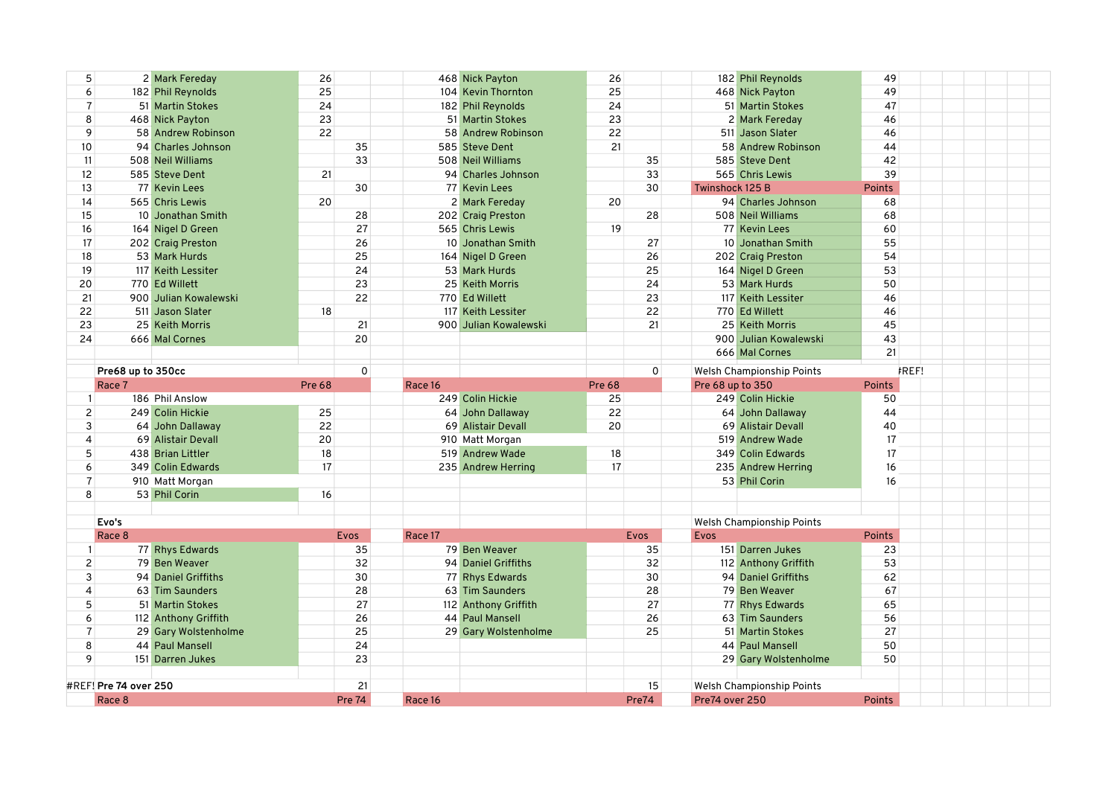| 5                     |                   | 2 Mark Fereday          | 26            |               | 468 Nick Payton       | 26            |    |                  | 182 Phil Reynolds                | 49            |  |
|-----------------------|-------------------|-------------------------|---------------|---------------|-----------------------|---------------|----|------------------|----------------------------------|---------------|--|
| 6                     |                   | 182 Phil Reynolds       | 25            |               | 104 Kevin Thornton    | 25            |    |                  | 468 Nick Payton                  | 49            |  |
| $\overline{7}$        |                   | 51 Martin Stokes        | 24            |               | 182 Phil Reynolds     | 24            |    |                  | 51 Martin Stokes                 | 47            |  |
| 8                     |                   | 468 Nick Payton         | 23            |               | 51 Martin Stokes      | 23            |    |                  | 2 Mark Fereday                   | 46            |  |
| 9                     |                   | 58 Andrew Robinson      | 22            |               | 58 Andrew Robinson    | 22            |    |                  | 511 Jason Slater                 | 46            |  |
| 10 <sup>°</sup>       |                   | 94 Charles Johnson      |               | 35            | 585 Steve Dent        | 21            |    |                  | 58 Andrew Robinson               | 44            |  |
| 11                    |                   | 508 Neil Williams       |               | 33            | 508 Neil Williams     |               | 35 |                  | 585 Steve Dent                   | 42            |  |
| 12                    |                   | 585 Steve Dent          | 21            |               | 94 Charles Johnson    |               | 33 |                  | 565 Chris Lewis                  | 39            |  |
| 13                    |                   | 77 Kevin Lees           |               | 30            | 77 Kevin Lees         |               | 30 | Twinshock 125 B  |                                  | Points        |  |
| 14                    |                   | 565 Chris Lewis         | 20            |               | 2 Mark Fereday        | 20            |    |                  | 94 Charles Johnson               | 68            |  |
| 15                    |                   | 10 Jonathan Smith       |               | 28            | 202 Craig Preston     |               | 28 |                  | 508 Neil Williams                | 68            |  |
| 16                    |                   | 164 Nigel D Green       |               | 27            | 565 Chris Lewis       | 19            |    |                  | 77 Kevin Lees                    | 60            |  |
| 17                    |                   | 202 Craig Preston       |               | 26            | 10 Jonathan Smith     |               | 27 |                  | 10 Jonathan Smith                | 55            |  |
| 18                    |                   | 53 Mark Hurds           |               | 25            | 164 Nigel D Green     |               | 26 |                  | 202 Craig Preston                | 54            |  |
| 19                    |                   | 117 Keith Lessiter      |               | 24            | 53 Mark Hurds         |               | 25 |                  | 164 Nigel D Green                | 53            |  |
| 20                    |                   | 770 Ed Willett          |               | 23            | 25 Keith Morris       |               | 24 |                  | 53 Mark Hurds                    | 50            |  |
| 21                    |                   | 900 Julian Kowalewski   |               | 22            | 770 Ed Willett        |               | 23 |                  | 117 Keith Lessiter               | 46            |  |
| 22                    |                   | 511 Jason Slater        | 18            |               | 117 Keith Lessiter    |               | 22 |                  | 770 Ed Willett                   | 46            |  |
| 23                    |                   | 25 Keith Morris         |               | 21            | 900 Julian Kowalewski |               | 21 |                  | 25 Keith Morris                  | 45            |  |
| 24                    |                   | 666 Mal Cornes          |               | 20            |                       |               |    |                  | 900 Julian Kowalewski            | 43            |  |
|                       |                   |                         |               |               |                       |               |    |                  | 666 Mal Cornes                   | 21            |  |
|                       |                   |                         |               |               |                       |               |    |                  |                                  |               |  |
|                       | Pre68 up to 350cc |                         |               | 0             |                       |               | 0  |                  | Welsh Championship Points        | <b>FREF!</b>  |  |
|                       | Race 7            |                         | <b>Pre 68</b> | Race 16       |                       | <b>Pre 68</b> |    | Pre 68 up to 350 |                                  | Points        |  |
| $\mathbf{1}$          |                   | 186 Phil Anslow         |               |               | 249 Colin Hickie      | 25            |    |                  | 249 Colin Hickie                 | 50            |  |
|                       |                   |                         |               |               |                       |               |    |                  |                                  |               |  |
| $\overline{c}$        |                   | 249 Colin Hickie        | 25            |               | 64 John Dallaway      | 22            |    |                  | 64 John Dallaway                 | 44            |  |
| 3                     |                   | 64 John Dallaway        | 22            |               | 69 Alistair Devall    | 20            |    |                  | 69 Alistair Devall               | 40            |  |
| 4                     |                   | 69 Alistair Devall      | 20            |               | 910 Matt Morgan       |               |    |                  | 519 Andrew Wade                  | 17            |  |
| 5                     |                   | 438 Brian Littler       | 18            |               | 519 Andrew Wade       | 18            |    |                  | 349 Colin Edwards                | 17            |  |
| 6                     |                   | 349 Colin Edwards       | 17            |               | 235 Andrew Herring    | 17            |    |                  | 235 Andrew Herring               | 16            |  |
| $\overline{7}$        |                   | 910 Matt Morgan         |               |               |                       |               |    |                  | 53 Phil Corin                    | 16            |  |
| 8                     |                   | 53 Phil Corin           | 16            |               |                       |               |    |                  |                                  |               |  |
|                       |                   |                         |               |               |                       |               |    |                  |                                  |               |  |
| Evo's                 |                   |                         |               |               |                       |               |    |                  | <b>Welsh Championship Points</b> |               |  |
|                       | Race 8            |                         | <b>Evos</b>   | Race 17       |                       | <b>Evos</b>   |    | Evos             |                                  | <b>Points</b> |  |
| $\mathbf{1}$          |                   | 77 Rhys Edwards         |               | 35            | 79 Ben Weaver         |               | 35 |                  | 151 Darren Jukes                 | 23            |  |
| 2                     |                   | 79 Ben Weaver           |               | 32            | 94 Daniel Griffiths   |               | 32 |                  | 112 Anthony Griffith             | 53            |  |
| 3                     |                   | 94 Daniel Griffiths     |               | 30            | 77 Rhys Edwards       |               | 30 |                  | 94 Daniel Griffiths              | 62            |  |
| 4                     |                   | 63 Tim Saunders         |               | 28            | 63 Tim Saunders       |               | 28 |                  | 79 Ben Weaver                    | 67            |  |
| 5                     |                   | <b>51 Martin Stokes</b> |               | 27            | 112 Anthony Griffith  |               | 27 |                  | 77 Rhys Edwards                  | 65            |  |
| 6                     |                   | 112 Anthony Griffith    |               | 26            | 44 Paul Mansell       |               | 26 |                  | 63 Tim Saunders                  | 56            |  |
| $\overline{7}$        |                   | 29 Gary Wolstenholme    |               | 25            | 29 Gary Wolstenholme  |               | 25 |                  | 51 Martin Stokes                 | 27            |  |
| 8                     |                   | 44 Paul Mansell         |               | 24            |                       |               |    |                  | 44 Paul Mansell                  | 50            |  |
| 9                     |                   | 151 Darren Jukes        |               | 23            |                       |               |    |                  | 29 Gary Wolstenholme             | 50            |  |
|                       |                   |                         |               |               |                       |               |    |                  |                                  |               |  |
| #REF! Pre 74 over 250 | Race 8            |                         | <b>Pre 74</b> | 21<br>Race 16 |                       | Pre74         | 15 | Pre74 over 250   | Welsh Championship Points        | <b>Points</b> |  |